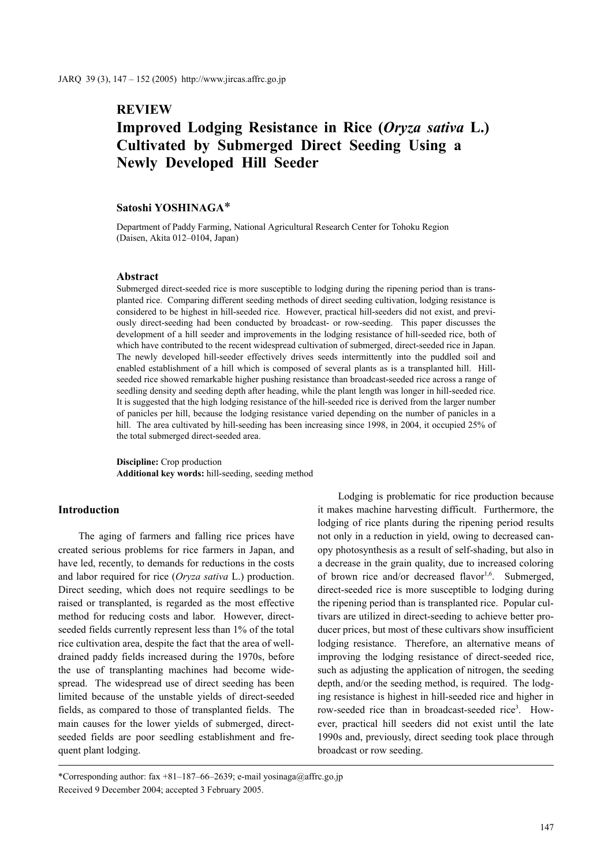## **REVIEW**

# **Improved Lodging Resistance in Rice (***Oryza sativa* **L.) Cultivated by Submerged Direct Seeding Using a Newly Developed Hill Seeder**

## **Satoshi YOSHINAGA**\*

Department of Paddy Farming, National Agricultural Research Center for Tohoku Region (Daisen, Akita 012–0104, Japan)

## **Abstract**

Submerged direct-seeded rice is more susceptible to lodging during the ripening period than is transplanted rice. Comparing different seeding methods of direct seeding cultivation, lodging resistance is considered to be highest in hill-seeded rice. However, practical hill-seeders did not exist, and previously direct-seeding had been conducted by broadcast- or row-seeding. This paper discusses the development of a hill seeder and improvements in the lodging resistance of hill-seeded rice, both of which have contributed to the recent widespread cultivation of submerged, direct-seeded rice in Japan. The newly developed hill-seeder effectively drives seeds intermittently into the puddled soil and enabled establishment of a hill which is composed of several plants as is a transplanted hill. Hillseeded rice showed remarkable higher pushing resistance than broadcast-seeded rice across a range of seedling density and seeding depth after heading, while the plant length was longer in hill-seeded rice. It is suggested that the high lodging resistance of the hill-seeded rice is derived from the larger number of panicles per hill, because the lodging resistance varied depending on the number of panicles in a hill. The area cultivated by hill-seeding has been increasing since 1998, in 2004, it occupied 25% of the total submerged direct-seeded area.

**Discipline:** Crop production **Additional key words:** hill-seeding, seeding method

## **Introduction**

The aging of farmers and falling rice prices have created serious problems for rice farmers in Japan, and have led, recently, to demands for reductions in the costs and labor required for rice (*Oryza sativa* L.) production. Direct seeding, which does not require seedlings to be raised or transplanted, is regarded as the most effective method for reducing costs and labor. However, directseeded fields currently represent less than 1% of the total rice cultivation area, despite the fact that the area of welldrained paddy fields increased during the 1970s, before the use of transplanting machines had become widespread. The widespread use of direct seeding has been limited because of the unstable yields of direct-seeded fields, as compared to those of transplanted fields. The main causes for the lower yields of submerged, directseeded fields are poor seedling establishment and frequent plant lodging.

Lodging is problematic for rice production because it makes machine harvesting difficult. Furthermore, the lodging of rice plants during the ripening period results not only in a reduction in yield, owing to decreased canopy photosynthesis as a result of self-shading, but also in a decrease in the grain quality, due to increased coloring of brown rice and/or decreased flavor<sup>1,6</sup>. Submerged, direct-seeded rice is more susceptible to lodging during the ripening period than is transplanted rice. Popular cultivars are utilized in direct-seeding to achieve better producer prices, but most of these cultivars show insufficient lodging resistance. Therefore, an alternative means of improving the lodging resistance of direct-seeded rice, such as adjusting the application of nitrogen, the seeding depth, and/or the seeding method, is required. The lodging resistance is highest in hill-seeded rice and higher in row-seeded rice than in broadcast-seeded rice<sup>3</sup>. However, practical hill seeders did not exist until the late 1990s and, previously, direct seeding took place through broadcast or row seeding.

<sup>\*</sup>Corresponding author: fax +81–187–66–2639; e-mail yosinaga@affrc.go.jp Received 9 December 2004; accepted 3 February 2005.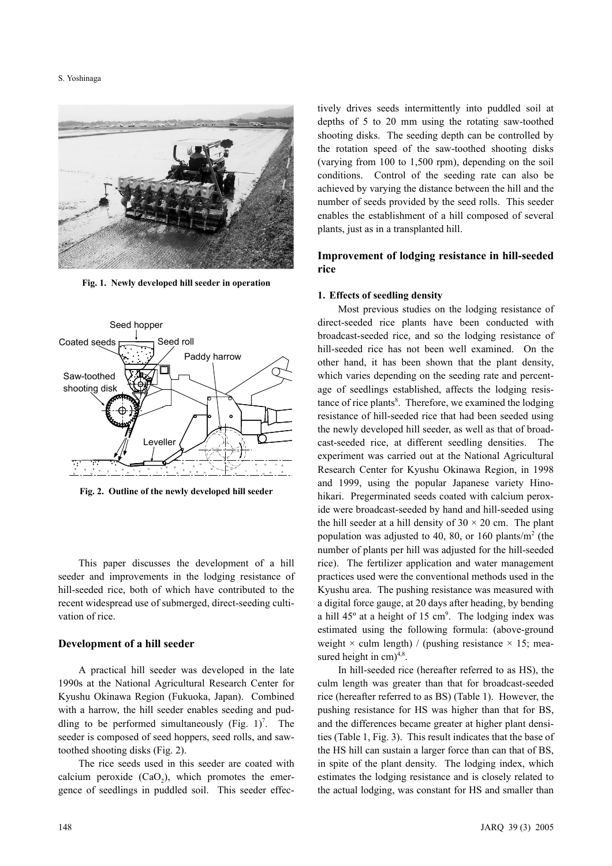#### S. Yoshinaga



**Fig. 1. Newly developed hill seeder in operation**



**Fig. 2. Outline of the newly developed hill seeder**

This paper discusses the development of a hill seeder and improvements in the lodging resistance of hill-seeded rice, both of which have contributed to the recent widespread use of submerged, direct-seeding cultivation of rice.

#### **Development of a hill seeder**

A practical hill seeder was developed in the late 1990s at the National Agricultural Research Center for Kyushu Okinawa Region (Fukuoka, Japan). Combined with a harrow, the hill seeder enables seeding and puddling to be performed simultaneously (Fig.  $1$ )<sup>7</sup>. The seeder is composed of seed hoppers, seed rolls, and sawtoothed shooting disks (Fig. 2).

The rice seeds used in this seeder are coated with calcium peroxide  $(CaO<sub>2</sub>)$ , which promotes the emergence of seedlings in puddled soil. This seeder effectively drives seeds intermittently into puddled soil at depths of 5 to 20 mm using the rotating saw-toothed shooting disks. The seeding depth can be controlled by the rotation speed of the saw-toothed shooting disks (varying from 100 to 1,500 rpm), depending on the soil conditions. Control of the seeding rate can also be achieved by varying the distance between the hill and the number of seeds provided by the seed rolls. This seeder enables the establishment of a hill composed of several plants, just as in a transplanted hill.

## **Improvement of lodging resistance in hill-seeded rice**

#### **1. Effects of seedling density**

Most previous studies on the lodging resistance of direct-seeded rice plants have been conducted with broadcast-seeded rice, and so the lodging resistance of hill-seeded rice has not been well examined. On the other hand, it has been shown that the plant density, which varies depending on the seeding rate and percentage of seedlings established, affects the lodging resistance of rice plants<sup>8</sup>. Therefore, we examined the lodging resistance of hill-seeded rice that had been seeded using the newly developed hill seeder, as well as that of broadcast-seeded rice, at different seedling densities. The experiment was carried out at the National Agricultural Research Center for Kyushu Okinawa Region, in 1998 and 1999, using the popular Japanese variety Hinohikari. Pregerminated seeds coated with calcium peroxide were broadcast-seeded by hand and hill-seeded using the hill seeder at a hill density of  $30 \times 20$  cm. The plant population was adjusted to 40, 80, or 160 plants/ $m<sup>2</sup>$  (the number of plants per hill was adjusted for the hill-seeded rice). The fertilizer application and water management practices used were the conventional methods used in the Kyushu area. The pushing resistance was measured with a digital force gauge, at 20 days after heading, by bending a hill  $45^\circ$  at a height of 15 cm<sup>9</sup>. The lodging index was estimated using the following formula: (above-ground weight  $\times$  culm length) / (pushing resistance  $\times$  15; measured height in  $cm)^{4,8}$ .

In hill-seeded rice (hereafter referred to as HS), the culm length was greater than that for broadcast-seeded rice (hereafter referred to as BS) (Table 1). However, the pushing resistance for HS was higher than that for BS, and the differences became greater at higher plant densities (Table 1, Fig. 3). This result indicates that the base of the HS hill can sustain a larger force than can that of BS, in spite of the plant density. The lodging index, which estimates the lodging resistance and is closely related to the actual lodging, was constant for HS and smaller than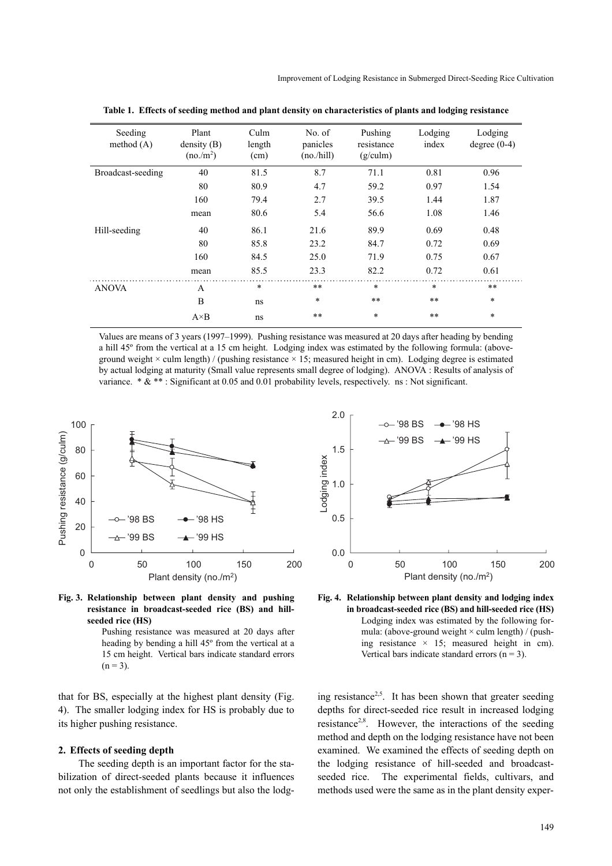| Seeding<br>method $(A)$ | Plant<br>density(B)<br>$(no/m^2)$ | Culm<br>length<br>(cm) | No. of<br>panicles<br>(no/hill) | Pushing<br>resistance<br>(g/culm) | Lodging<br>index | Lodging<br>degree $(0-4)$ |
|-------------------------|-----------------------------------|------------------------|---------------------------------|-----------------------------------|------------------|---------------------------|
| Broadcast-seeding       | 40                                | 81.5                   | 8.7                             | 71.1                              | 0.81             | 0.96                      |
|                         | 80                                | 80.9                   | 4.7                             | 59.2                              | 0.97             | 1.54                      |
|                         | 160                               | 79.4                   | 2.7                             | 39.5                              | 1.44             | 1.87                      |
|                         | mean                              | 80.6                   | 5.4                             | 56.6                              | 1.08             | 1.46                      |
| Hill-seeding            | 40                                | 86.1                   | 21.6                            | 89.9                              | 0.69             | 0.48                      |
|                         | 80                                | 85.8                   | 23.2                            | 84.7                              | 0.72             | 0.69                      |
|                         | 160                               | 84.5                   | 25.0                            | 71.9                              | 0.75             | 0.67                      |
|                         | mean                              | 85.5                   | 23.3                            | 82.2                              | 0.72             | 0.61                      |
| <b>ANOVA</b>            | $\mathsf{A}$                      | $\ast$                 | **                              | $\ast$                            | $\ast$           | **                        |
|                         | B                                 | ns                     | $\ast$                          | **                                | $***$            | $\ast$                    |
|                         | $A \times B$                      | ns                     | **                              | $\ast$                            | $***$            | $\ast$                    |

**Table 1. Effects of seeding method and plant density on characteristics of plants and lodging resistance**

Values are means of 3 years (1997–1999). Pushing resistance was measured at 20 days after heading by bending a hill 45º from the vertical at a 15 cm height. Lodging index was estimated by the following formula: (aboveground weight  $\times$  culm length) / (pushing resistance  $\times$  15; measured height in cm). Lodging degree is estimated by actual lodging at maturity (Small value represents small degree of lodging). ANOVA : Results of analysis of variance.  $* \& *$ : Significant at 0.05 and 0.01 probability levels, respectively. ns : Not significant.





Pushing resistance was measured at 20 days after heading by bending a hill 45º from the vertical at a 15 cm height. Vertical bars indicate standard errors  $(n = 3)$ .

that for BS, especially at the highest plant density (Fig. 4). The smaller lodging index for HS is probably due to its higher pushing resistance.

#### **2. Effects of seeding depth**

The seeding depth is an important factor for the stabilization of direct-seeded plants because it influences not only the establishment of seedlings but also the lodg-



**Fig. 4. Relationship between plant density and lodging index in broadcast-seeded rice (BS) and hill-seeded rice (HS)** Lodging index was estimated by the following formula: (above-ground weight  $\times$  culm length) / (pushing resistance  $\times$  15; measured height in cm). Vertical bars indicate standard errors  $(n = 3)$ .

ing resistance<sup>2,5</sup>. It has been shown that greater seeding depths for direct-seeded rice result in increased lodging resistance2,8. However, the interactions of the seeding method and depth on the lodging resistance have not been examined. We examined the effects of seeding depth on the lodging resistance of hill-seeded and broadcastseeded rice. The experimental fields, cultivars, and methods used were the same as in the plant density exper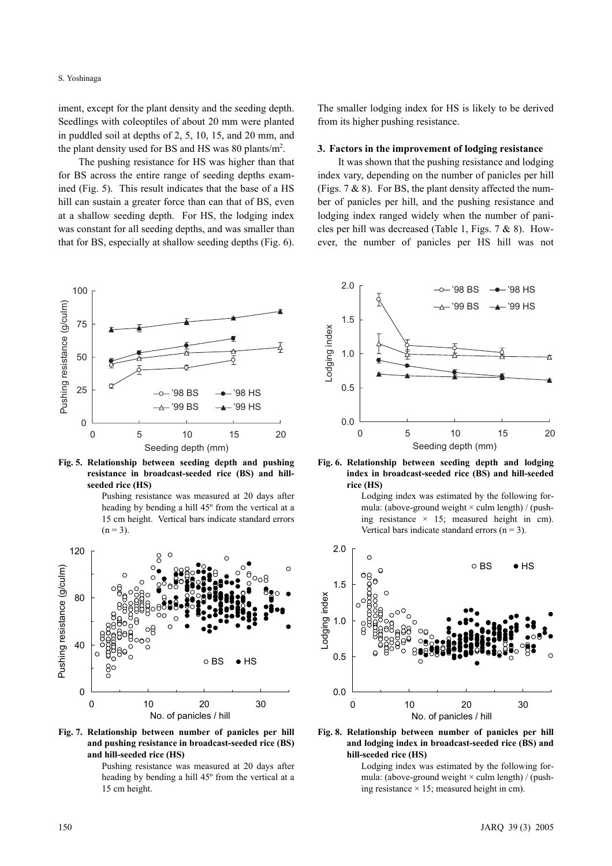iment, except for the plant density and the seeding depth. Seedlings with coleoptiles of about 20 mm were planted in puddled soil at depths of 2, 5, 10, 15, and 20 mm, and the plant density used for BS and HS was 80 plants/ $m^2$ .

The pushing resistance for HS was higher than that for BS across the entire range of seeding depths examined (Fig. 5). This result indicates that the base of a HS hill can sustain a greater force than can that of BS, even at a shallow seeding depth. For HS, the lodging index was constant for all seeding depths, and was smaller than that for BS, especially at shallow seeding depths (Fig. 6).



**Fig. 5. Relationship between seeding depth and pushing resistance in broadcast-seeded rice (BS) and hillseeded rice (HS)** 

Pushing resistance was measured at 20 days after heading by bending a hill 45º from the vertical at a 15 cm height. Vertical bars indicate standard errors  $(n = 3)$ .



**Fig. 7. Relationship between number of panicles per hill and pushing resistance in broadcast-seeded rice (BS) and hill-seeded rice (HS)**

Pushing resistance was measured at 20 days after heading by bending a hill 45º from the vertical at a 15 cm height.

The smaller lodging index for HS is likely to be derived from its higher pushing resistance.

#### **3. Factors in the improvement of lodging resistance**

It was shown that the pushing resistance and lodging index vary, depending on the number of panicles per hill (Figs. 7 & 8). For BS, the plant density affected the number of panicles per hill, and the pushing resistance and lodging index ranged widely when the number of panicles per hill was decreased (Table 1, Figs. 7 & 8). However, the number of panicles per HS hill was not



**Fig. 6. Relationship between seeding depth and lodging index in broadcast-seeded rice (BS) and hill-seeded rice (HS)**

Lodging index was estimated by the following formula: (above-ground weight  $\times$  culm length) / (pushing resistance  $\times$  15; measured height in cm). Vertical bars indicate standard errors  $(n = 3)$ .



**Fig. 8. Relationship between number of panicles per hill and lodging index in broadcast-seeded rice (BS) and hill-seeded rice (HS)**

Lodging index was estimated by the following formula: (above-ground weight  $\times$  culm length) / (pushing resistance  $\times$  15; measured height in cm).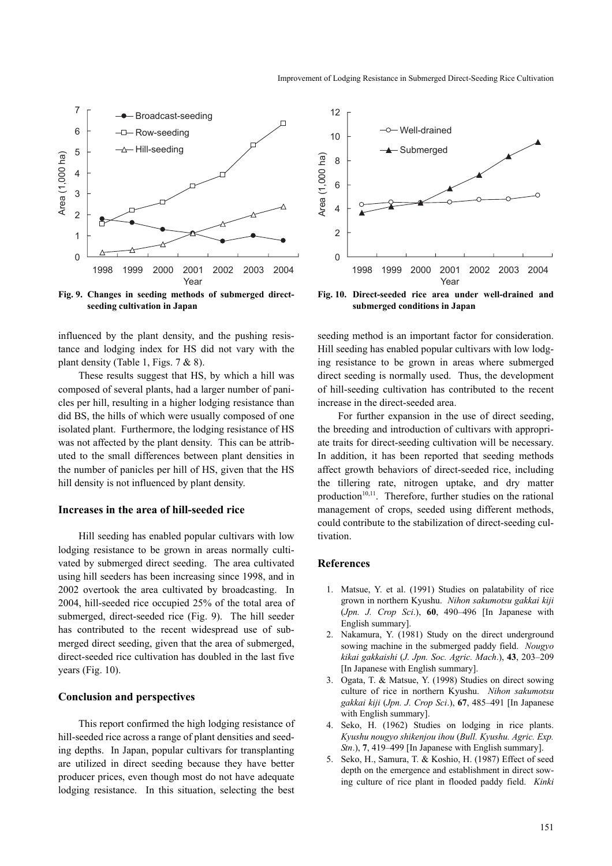

**Fig. 9. Changes in seeding methods of submerged directseeding cultivation in Japan**

influenced by the plant density, and the pushing resistance and lodging index for HS did not vary with the plant density (Table 1, Figs. 7 & 8).

These results suggest that HS, by which a hill was composed of several plants, had a larger number of panicles per hill, resulting in a higher lodging resistance than did BS, the hills of which were usually composed of one isolated plant. Furthermore, the lodging resistance of HS was not affected by the plant density. This can be attributed to the small differences between plant densities in the number of panicles per hill of HS, given that the HS hill density is not influenced by plant density.

#### **Increases in the area of hill-seeded rice**

Hill seeding has enabled popular cultivars with low lodging resistance to be grown in areas normally cultivated by submerged direct seeding. The area cultivated using hill seeders has been increasing since 1998, and in 2002 overtook the area cultivated by broadcasting. In 2004, hill-seeded rice occupied 25% of the total area of submerged, direct-seeded rice (Fig. 9). The hill seeder has contributed to the recent widespread use of submerged direct seeding, given that the area of submerged, direct-seeded rice cultivation has doubled in the last five years (Fig. 10).

## **Conclusion and perspectives**

This report confirmed the high lodging resistance of hill-seeded rice across a range of plant densities and seeding depths. In Japan, popular cultivars for transplanting are utilized in direct seeding because they have better producer prices, even though most do not have adequate lodging resistance. In this situation, selecting the best



**Fig. 10. Direct-seeded rice area under well-drained and submerged conditions in Japan**

seeding method is an important factor for consideration. Hill seeding has enabled popular cultivars with low lodging resistance to be grown in areas where submerged direct seeding is normally used. Thus, the development of hill-seeding cultivation has contributed to the recent increase in the direct-seeded area.

For further expansion in the use of direct seeding, the breeding and introduction of cultivars with appropriate traits for direct-seeding cultivation will be necessary. In addition, it has been reported that seeding methods affect growth behaviors of direct-seeded rice, including the tillering rate, nitrogen uptake, and dry matter production $10,11$ . Therefore, further studies on the rational management of crops, seeded using different methods, could contribute to the stabilization of direct-seeding cultivation.

## **References**

- 1. Matsue, Y. et al. (1991) Studies on palatability of rice grown in northern Kyushu. *Nihon sakumotsu gakkai kiji* (*Jpn. J. Crop Sci*.), **60**, 490–496 [In Japanese with English summary].
- 2. Nakamura, Y. (1981) Study on the direct underground sowing machine in the submerged paddy field. *Nougyo kikai gakkaishi* (*J. Jpn. Soc. Agric. Mach*.), **43**, 203–209 [In Japanese with English summary].
- 3. Ogata, T. & Matsue, Y. (1998) Studies on direct sowing culture of rice in northern Kyushu. *Nihon sakumotsu gakkai kiji* (*Jpn. J. Crop Sci*.), **67**, 485–491 [In Japanese with English summary].
- 4. Seko, H. (1962) Studies on lodging in rice plants. *Kyushu nougyo shikenjou ihou* (*Bull. Kyushu. Agric. Exp. Stn*.), **7**, 419–499 [In Japanese with English summary].
- 5. Seko, H., Samura, T. & Koshio, H. (1987) Effect of seed depth on the emergence and establishment in direct sowing culture of rice plant in flooded paddy field. *Kinki*